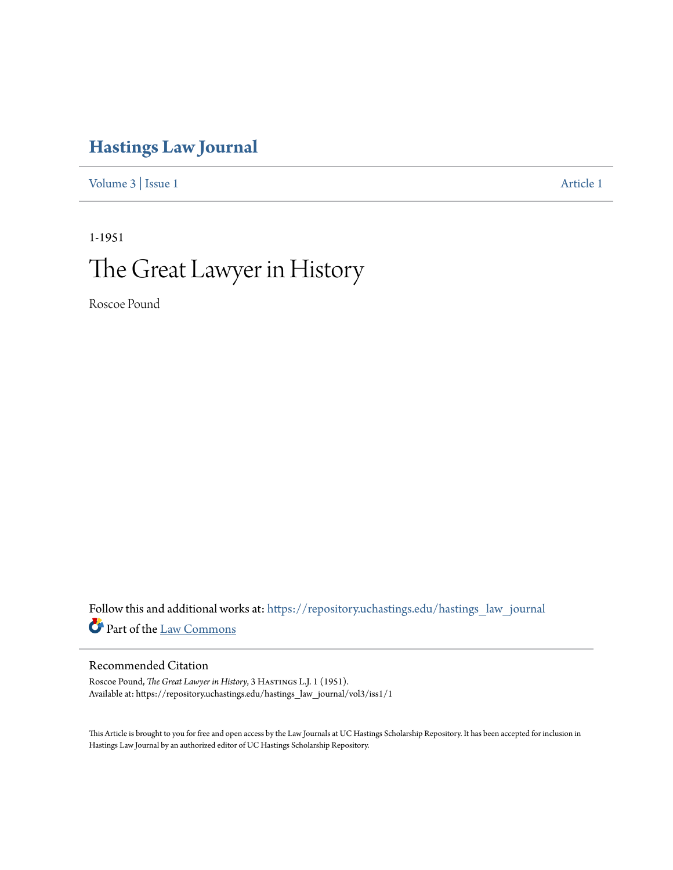# **[Hastings Law Journal](https://repository.uchastings.edu/hastings_law_journal?utm_source=repository.uchastings.edu%2Fhastings_law_journal%2Fvol3%2Fiss1%2F1&utm_medium=PDF&utm_campaign=PDFCoverPages)**

[Volume 3](https://repository.uchastings.edu/hastings_law_journal/vol3?utm_source=repository.uchastings.edu%2Fhastings_law_journal%2Fvol3%2Fiss1%2F1&utm_medium=PDF&utm_campaign=PDFCoverPages) | [Issue 1](https://repository.uchastings.edu/hastings_law_journal/vol3/iss1?utm_source=repository.uchastings.edu%2Fhastings_law_journal%2Fvol3%2Fiss1%2F1&utm_medium=PDF&utm_campaign=PDFCoverPages) [Article 1](https://repository.uchastings.edu/hastings_law_journal/vol3/iss1/1?utm_source=repository.uchastings.edu%2Fhastings_law_journal%2Fvol3%2Fiss1%2F1&utm_medium=PDF&utm_campaign=PDFCoverPages)

# 1-1951 The Great Lawyer in History

Roscoe Pound

Follow this and additional works at: [https://repository.uchastings.edu/hastings\\_law\\_journal](https://repository.uchastings.edu/hastings_law_journal?utm_source=repository.uchastings.edu%2Fhastings_law_journal%2Fvol3%2Fiss1%2F1&utm_medium=PDF&utm_campaign=PDFCoverPages) Part of the [Law Commons](http://network.bepress.com/hgg/discipline/578?utm_source=repository.uchastings.edu%2Fhastings_law_journal%2Fvol3%2Fiss1%2F1&utm_medium=PDF&utm_campaign=PDFCoverPages)

## Recommended Citation

Roscoe Pound, *The Great Lawyer in History*, 3 HASTINGS L.J. 1 (1951). Available at: https://repository.uchastings.edu/hastings\_law\_journal/vol3/iss1/1

This Article is brought to you for free and open access by the Law Journals at UC Hastings Scholarship Repository. It has been accepted for inclusion in Hastings Law Journal by an authorized editor of UC Hastings Scholarship Repository.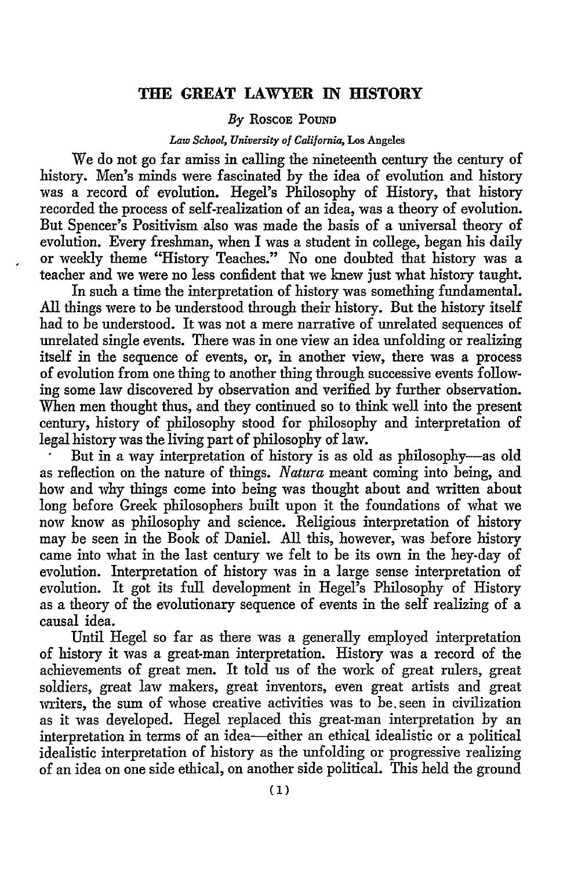### **THE GREAT LAWYER IN HISTORY**

#### By ROSCOE **POUND**

#### *Law School, University of California,* Los Angeles

We do not go far amiss in calling the nineteenth century the century of history. Men's minds were fascinated by the idea of evolution and history was a record of evolution. Hegel's Philosophy of History, that history recorded the process of self-realization of an idea, was a theory of evolution. But Spencer's Positivism also was made the basis of a universal theory of evolution. Every freshman, when I was a student in college, began his daily or weekly theme "History Teaches." No one doubted that history was a teacher and we were no less confident that we knew just what history taught.

In such a time the interpretation of history was something fundamental. **All** things were to be understood through their history. But the history itself had to be understood. It was not a mere narrative of unrelated sequences of unrelated single events. There was in one view an idea unfolding or realizing itself in the sequence of events, or, in another view, there was a process of evolution from one thing to another thing through successive events following some law discovered by observation and verified by further observation. When men thought thus, and they continued so to think well into the present century, history of philosophy stood for philosophy and interpretation of legal history was the living part of philosophy of law.

But in a way interpretation of history is as old as philosophy-as old as reflection on the nature of things. *Natura* meant coming into being, and how and why things come into being was thought about and written about long before Greek philosophers built upon it the foundations of what we now know as philosophy and science. Religious interpretation of history may be seen in the Book of Daniel. All this, however, was before history came into what in the last century we felt to be its own in the hey-day of evolution. Interpretation of history was in a large sense interpretation of evolution. It got its full development in Hegel's Philosophy of History as a theory of the evolutionary sequence of events in the self realizing of a causal idea.

Until Hegel so far as there was a generally employed interpretation of history it was a great-man interpretation. History was a record of the achievements of great men. It told us of the work of great rulers, great soldiers, great law makers, great inventors, even great artists and great writers, the sum of whose creative activities was to be. seen in civilization as it was developed. Hegel replaced this great-man interpretation by an interpretation in terms of an idea-either an ethical idealistic or a political idealistic interpretation of history as the unfolding or progressive realizing of an idea on one side ethical, on another side political. This held the ground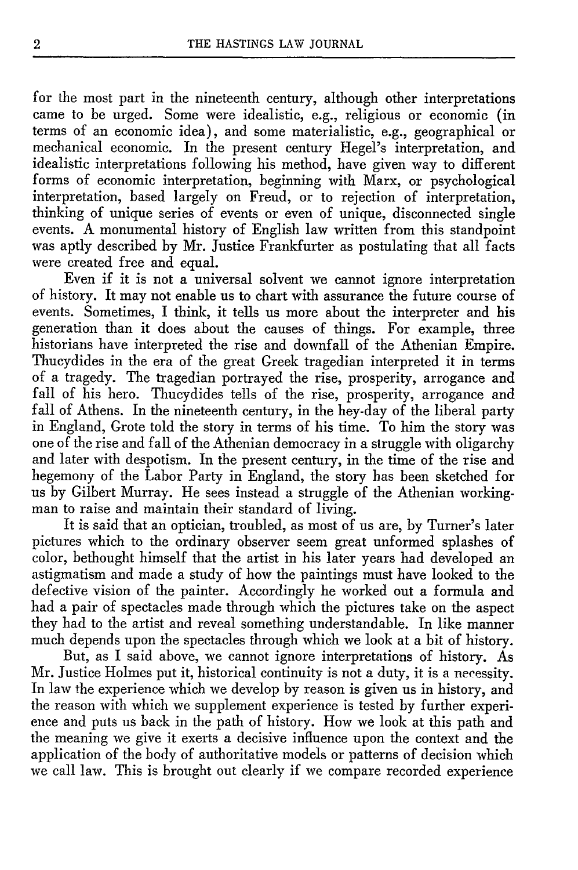for the most part in the nineteenth century, although other interpretations came to be urged. Some were idealistic, e.g., religious or economic (in terms of an economic idea), and some materialistic, e.g., geographical or mechanical economic. In the present century Hegel's interpretation, and idealistic interpretations following his method, have given way to different forms of economic interpretation, beginning with Marx, or psychological interpretation, based largely on Freud, or to rejection of interpretation, thinking of unique series of events or even of unique, disconnected single events. A monumental history of English law written from this standpoint was aptly described by Mr. Justice Frankfurter as postulating that all facts were created free and equal.

Even if it is not a universal solvent we cannot ignore interpretation of history. It may not enable us to chart with assurance the future course of events. Sometimes, I think, it tells us more about the interpreter and his generation than it does about the causes of things. For example, three historians have interpreted the rise and downfall of the Athenian Empire. Thucydides in the era of the great Greek tragedian interpreted it in terms of a tragedy. The tragedian portrayed the rise, prosperity, arrogance and fall of his hero. Thucydides tells of the rise, prosperity, arrogance and fall of Athens. In the nineteenth century, in the hey-day of the liberal party in England, Grote told the story in terms of his time. To him the story was one of the rise and fall of the Athenian democracy in a struggle with oligarchy and later with despotism. In the present century, in the time of the rise and hegemony of the Labor Party in England, the story has been sketched for us by Gilbert Murray. He sees instead a struggle of the Athenian workingman to raise and maintain their standard of living.

It is said that an optician, troubled, as most of us are, by Turner's later pictures which to the ordinary observer seem great unformed splashes of color, bethought himself that the artist in his later years had developed an astigmatism and made a study of how the paintings must have looked to the defective vision of the painter. Accordingly he worked out a formula and had a pair of spectacles made through which the pictures take on the aspect they had to the artist and reveal something understandable. In like manner much depends upon the spectacles through which we look at a bit of history.

But, as I said above, we cannot ignore interpretations of history. As Mr. Justice Holmes put it, historical continuity is not a duty, it is a necessity. In law the experience which we develop by reason is given us in history, and the reason with which we supplement experience is tested by further experience and puts us back in the path of history. How we look at this path and the meaning we give it exerts a decisive influence upon the context and the application of the body of authoritative models or patterns of decision which we call law. This is brought out clearly if we compare recorded experience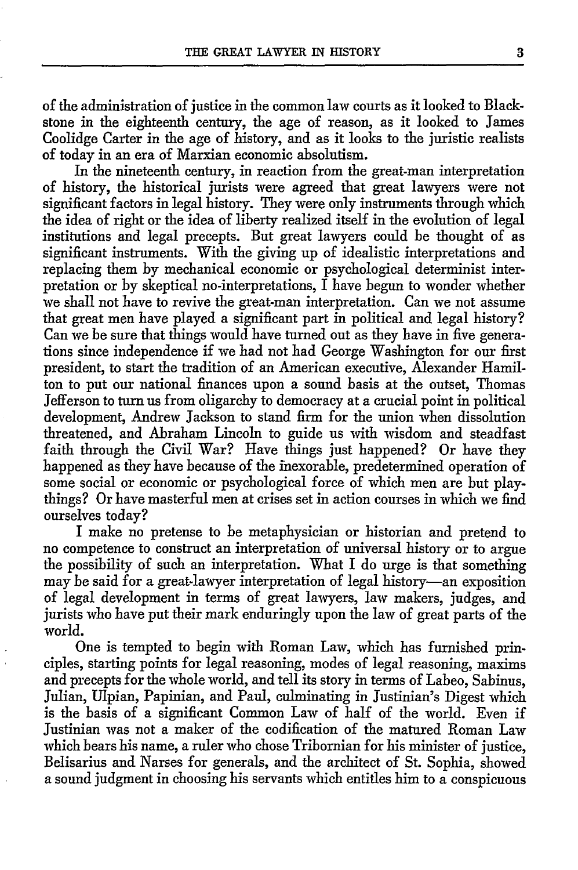of the administration of justice in the common law courts as it looked to Blackstone in the eighteenth century, the age of reason, as it looked to James Coolidge Carter in the age of history, and as it looks to the juristic realists of today in an era of Marxian economic absolutism.

In the nineteenth century, in reaction from the great-man interpretation of history, the historical jurists were agreed that great lawyers were not significant factors in legal history. They were only instruments through which the idea of right or the idea of liberty realized itself in the evolution of legal institutions and legal precepts. But great lawyers could be thought of as significant instruments. With the giving up of idealistic interpretations and replacing them by mechanical economic or psychological determinist interpretation or by skeptical no-interpretations, I have begun to wonder whether we shall not have to revive the great-man interpretation. Can we not assume that great men have played a significant part in political and legal history? Can we be sure that things would have turned out as they have in five generations since independence if we had not had George Washington for our first president, to start the tradition of an American executive, Alexander Hamilton to put our national finances upon a sound basis at the outset, Thomas Jefferson to turn us from oligarchy to democracy at a crucial point in political development, Andrew Jackson to stand firm for the union when dissolution threatened, and Abraham Lincoln to guide us with wisdom and steadfast faith through the Civil War? Have things just happened? Or have they happened as they have because of the inexorable, predetermined operation of some social or economic or psychological force of which men are but playthings? Or have masterful men at crises set in action courses in which we find ourselves today?

I make no pretense to be metaphysician or historian and pretend to no competence to construct an interpretation of universal history or to argue the possibility of such an interpretation. What I do urge is that something may be said for a great-lawyer interpretation of legal history-an exposition of legal development in terms of great lawyers, law makers, judges, and jurists who have put their mark enduringly upon the law of great parts of the world.

One is tempted to begin with Roman Law, which has furnished principles, starting points for legal reasoning, modes of legal reasoning, maxims and precepts for the whole world, and tell its story in terms of Labeo, Sabinus, Julian, Ulpian, Papinian, and Paul, culminating in Justinian's Digest which is the basis of a significant Common Law of half of the world. Even if Justinian was not a maker of the codification of the matured Roman Law which bears his name, a ruler who chose Tribornian for his minister of justice, Belisarius and Narses for generals, and the architect of St. Sophia, showed a sound judgment in choosing his servants which entitles him to a conspicuous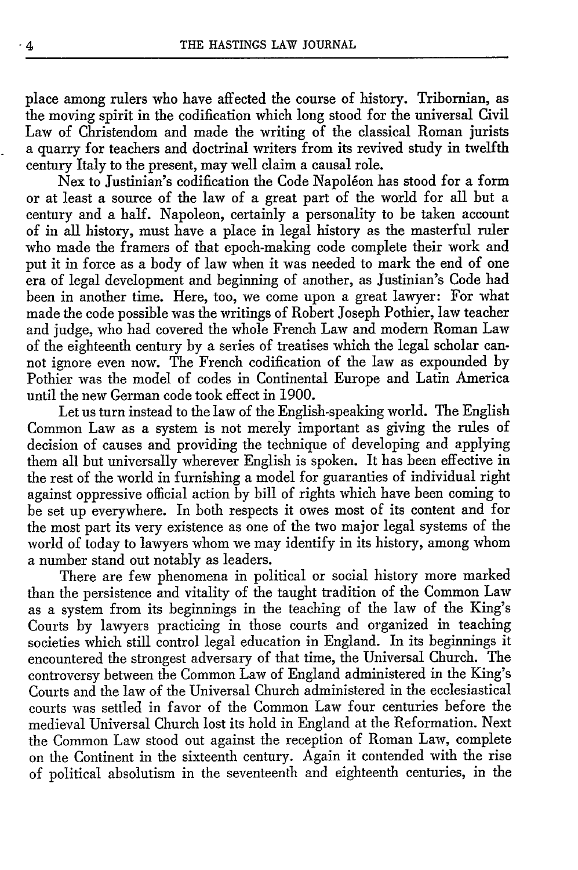place among rulers who have affected the course of history. Tribomian, as the moving spirit in the codification which long stood for the universal Civil Law of Christendom and made the writing of the classical Roman jurists a quarry for teachers and doctrinal writers from its revived study in twelfth century Italy to the present, may well claim a causal role.

Nex to Justinian's codification the Code Napoléon has stood for a form or at least a source of the law of a great part of the world for all but a century and a half. Napoleon, certainly a personality to be taken account of in all history, must have a place in legal history as the masterful ruler who made the framers of that epoch-making code complete their work and put it in force as a body of law when it was needed to mark the end of one era of legal development and beginning of another, as Justinian's Code had been in another time. Here, too, we come upon a great lawyer: For what made the code possible was the writings of Robert Joseph Pothier, law teacher and judge, who had covered the whole French Law and modem Roman Law of the eighteenth century by a series of treatises which the legal scholar cannot ignore even now. The French codification of the law as expounded by Pothier was the model of codes in Continental Europe and Latin America until the new German code took effect in 1900.

Let us turn instead to the law of the English-speaking world. The English Common Law as a system is not merely important as giving the rules of decision of causes and providing the technique of developing and applying them all but universally wherever English is spoken. It has been effective in the rest of the world in furnishing a model for guaranties of individual right against oppressive official action by bill of rights which have been coming to be set up everywhere. In both respects it owes most of its content and for the most part its very existence as one of the two major legal systems of the world of today to lawyers whom we may identify in its history, among whom a number stand out notably as leaders.

There are few phenomena in political or social history more marked than the persistence and vitality of the taught tradition of the Common Law as a system from its beginnings in the teaching of the law of the King's Courts by lawyers practicing in those courts and organized in teaching societies which still control legal education in England. In its beginnings it encountered the strongest adversary of that time, the Universal Church. The controversy between the Common Law of England administered in the King's Courts and the law of the Universal Church administered in the ecclesiastical courts was settled in favor of the Common Law four centuries before the medieval Universal Church lost its hold in England at the Reformation. Next the Common Law stood out against the reception of Roman Law, complete on the Continent in the sixteenth century. Again it contended with the rise of political absolutism in the seventeenth and eighteenth centuries, in the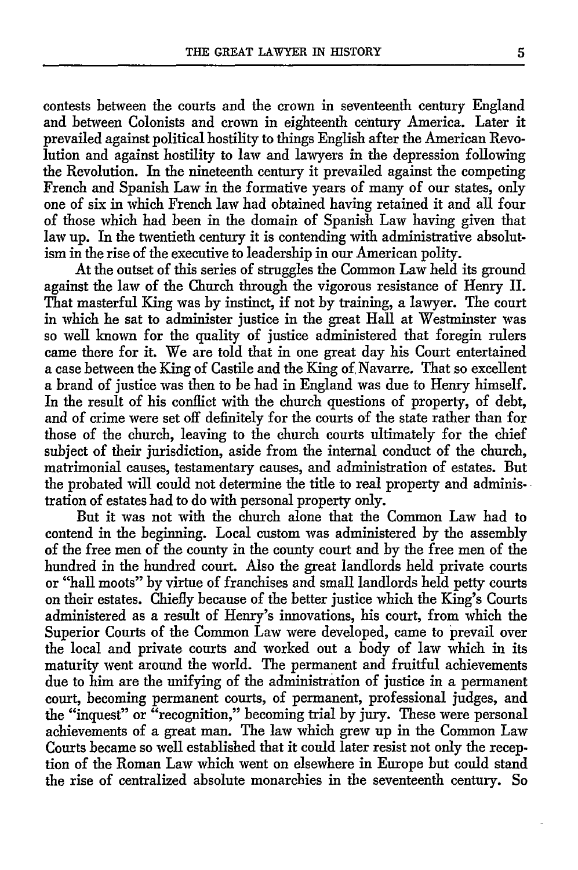contests between the courts and the crown in seventeenth century England and between Colonists and crown in eighteenth century America. Later it prevailed against political hostility to things English after the American Revolution and against hostility to law and lawyers in the depression following the Revolution. In the nineteenth century it prevailed against the competing French and Spanish Law in the formative years of many of our states, only one of six in which French law had obtained having retained it and all four of those which had been in the domain of Spanish Law having given that law up. In the twentieth century it is contending with administrative absolutism in the rise of the executive to leadership in our American polity.

At the outset of this series of struggles the Common Law held its ground against the law of the Church through the vigorous resistance of Henry II. That masterful King was by instinct, if not by training, a lawyer. The court in which he sat to administer justice in the great Hall at Westminster was so well known for the quality of justice administered that foregin rulers came there for it. We are told that in one great day his Court entertained a case between the King of Castile and the King of, Navarre. That so excellent a brand of justice was then to be had in England was due to Henry himself. In the result of his conflict with the church questions of property, of debt, and of crime were set off definitely for the courts of the state rather than for those of the church, leaving to the church courts ultimately for the chief subject of their jurisdiction, aside from the internal conduct of the church, matrimonial causes, testamentary causes, and administration of estates. But the probated will could not determine the title to real property and administration of estates had to do with personal property only.

But it was not with the church alone that the Common Law had to contend in the beginning. Local custom was administered by the assembly of the free men of the county in the county court and by the free men of the hundred in the hundred court. Also the great landlords held private courts or "hall moots" by virtue of franchises and small landlords held petty courts on their estates. Chiefly because of the better justice which the King's Courts administered as a result of Henry's innovations, his court, from which the Superior Courts of the Common Law were developed, came to prevail over the local and private courts and worked out a body of law which in its maturity went around the world. The permanent and fruitful achievements due to him are the unifying of the administration of justice in a permanent court, becoming permanent courts, of permanent, professional judges, and the "inquest" or "recognition," becoming trial by jury. These were personal achievements of a great man. The law which grew up in the Common Law Courts became so well established that it could later resist not only the reception of the Roman Law which went on elsewhere in Europe but could stand the rise of centralized absolute monarchies in the seventeenth century. So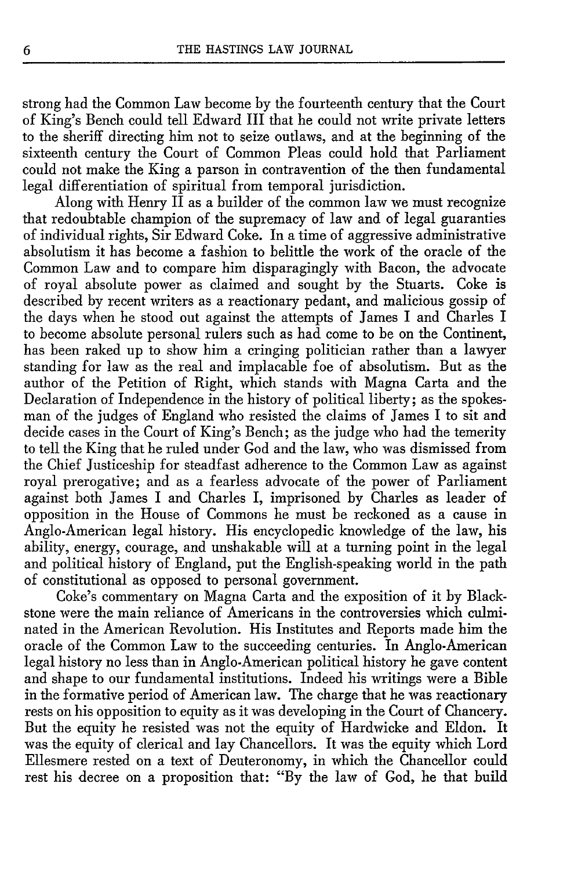strong had the Common Law become by the fourteenth century that the Court of King's Bench could tell Edward III that he could not write private letters to the sheriff directing him not to seize outlaws, and at the beginning of the sixteenth century the Court of Common Pleas could hold that Parliament could not make the King a parson in contravention of the then fundamental legal differentiation of spiritual from temporal jurisdiction.

Along with Henry II as a builder of the common law we must recognize that redoubtable champion of the supremacy of law and of legal guaranties of individual rights, Sir Edward Coke. In a time of aggressive administrative absolutism it has become a fashion to belittle the work of the oracle of the Common Law and to compare him disparagingly with Bacon, the advocate of royal absolute power as claimed and sought by the Stuarts. Coke is described by recent writers as a reactionary pedant, and malicious gossip of the days when he stood out against the attempts of James I and Charles I to become absolute personal rulers such as had come to be on the Continent, has been raked up to show him a cringing politician rather than a lawyer standing for law as the real and implacable foe of absolutism. But as the author of the Petition of Right, which stands with Magna Carta and the Declaration of Independence in the history of political liberty; as the spokesman of the judges of England who resisted the claims of James I to sit and decide cases in the Court of King's Bench; as the judge who had the temerity to tell the King that he ruled under God and the law, who was dismissed from the Chief Justiceship for steadfast adherence to the Common Law as against royal prerogative; and as a fearless advocate of the power of Parliament against both James I and Charles I, imprisoned by Charles as leader of opposition in the House of Commons he must be reckoned as a cause in Anglo-American legal history. His encyclopedic knowledge of the law, his ability, energy, courage, and unshakable will at a turning point in the legal and political history of England, put the English-speaking world in the path of constitutional as opposed to personal government.

Coke's commentary on Magna Carta and the exposition of it by Blackstone were the main reliance of Americans in the controversies which culminated in the American Revolution. His Institutes and Reports made him the oracle of the Common Law to the succeeding centuries. In Anglo-American legal history no less than in Anglo-American political history he gave content and shape to our fundamental institutions. Indeed his writings were a Bible in the formative period of American law. The charge that he was reactionary rests on his opposition to equity as it was developing in the Court of Chancery. But the equity he resisted was not the equity of Hardwicke and Eldon. It was the equity of clerical and lay Chancellors. It was the equity which Lord Ellesmere rested on a text of Deuteronomy, in which the Chancellor could rest his decree on a proposition that: "By the law of God, he that build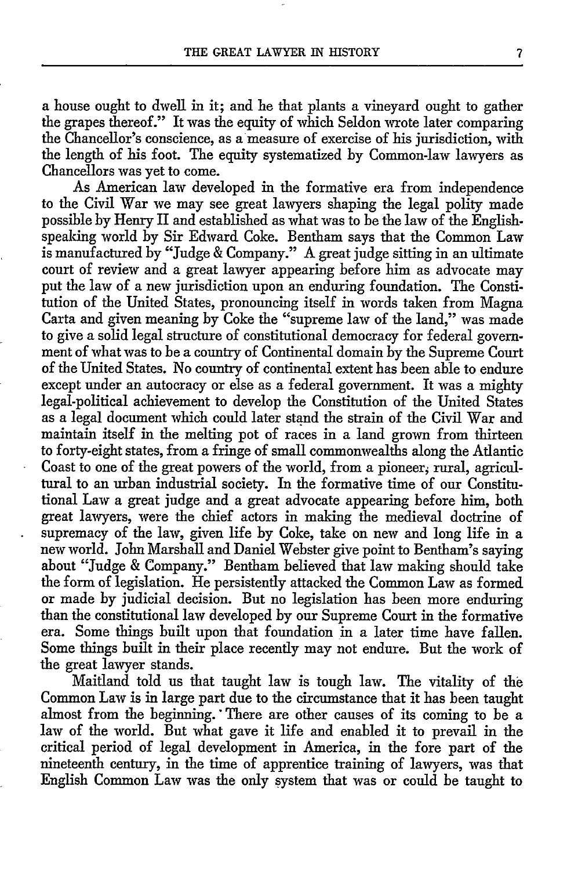a house ought to dwell in it; and he that plants a vineyard ought to gather the grapes thereof." It was the equity of which Seldon wrote later comparing the Chancellor's conscience, as a measure of exercise of his jurisdiction, with the length of his foot. The equity systematized by Common-law lawyers as Chancellors was yet to come.

As American law developed in the formative era from independence to the Civil War we may see great lawyers shaping the legal polity made possible by Henry II and established as what was to be the law of the Englishspeaking world by Sir Edward Coke. Bentham says that the Common Law is manufactured by "Judge & Company." A great judge sitting in an ultimate court of review and a great lawyer appearing before him as advocate may put the law of a new jurisdiction upon an enduring foundation. The Constitution of the United States, pronouncing itself in words taken from Magna Carta and given meaning by Coke the "supreme law of the land," was made to give a solid legal structure of constitutional democracy for federal government of what was to be a country of Continental domain by the Supreme Court of the United States. No country of continental extent has been able to endure except under an autocracy or else as a federal government. It was a mighty legal-political achievement to develop the Constitution of the United States as a legal document which could later stand the strain of the Civil War and maintain itself in the melting pot of races in a land grown from thirteen to forty-eight states, from a fringe of small commonwealths along the Atlantic Coast to one of the great powers of the world, from a pioneer, rural, agricultural to an urban industrial society. In the formative time of our Constitutional Law a great judge and a great advocate appearing before him, both great lawyers, were the chief actors in making the medieval doctrine of supremacy of the law, given life by Coke, take on new and long life in a new world. John Marshall and Daniel Webster give point to Bentham's saying about "Judge & Company." Bentham believed that law making should take the form of legislation. He persistently attacked the Common Law as formed or made by judicial decision. But no legislation has been more enduring than the constitutional law developed by our Supreme Court in the formative era. Some things built upon that foundation in a later time have fallen. Some things built in their place recently may not endure. But the work of the great lawyer stands.

Maitland told us that taught law is tough law. The vitality of the Common Law is in large part due to the circumstance that it has been taught almost from the beginning. 'There are other causes of its coming to be a law of the world. But what gave it life and enabled it to prevail in the critical period of legal development in America, in the fore part of the nineteenth century, in the time of apprentice training of lawyers, was that English Common Law was the only system that was or could be taught to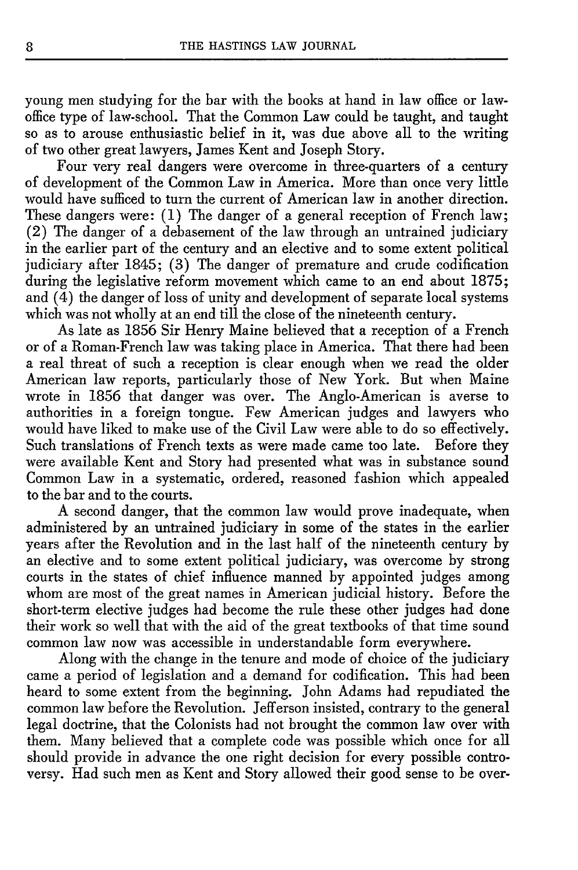young men studying for the bar with the books at hand in law office or lawoffice type of law-school. That the Common Law could be taught, and taught so as to arouse enthusiastic belief in it, was due above all to the writing of two other great lawyers, James Kent and Joseph Story.

Four very real dangers were overcome in three-quarters of a century of development of the Common Law in America. More than once very little would have sufficed to turn the current of American law in another direction. These dangers were: (1) The danger of a general reception of French law; (2) The danger of a debasement of the law through an untrained judiciary in the earlier part of the century and an elective and to some extent political judiciary after 1845; (3) The danger of premature and crude codification during the legislative reform movement which came to an end about 1875; and (4) the danger of loss of unity and development of separate local systems which was not wholly at an end till the close of the nineteenth century.

As late as 1856 Sir Henry Maine believed that a reception of a French or of a Roman-French law was taking place in America. That there had been a real threat of such a reception is clear enough when we read the older American law reports, particularly those of New York. But when Maine wrote in 1856 that danger was over. The Anglo-American is averse to authorities in a foreign tongue. Few American judges and lawyers who would have liked to make use of the Civil Law were able to do so effectively. Such translations of French texts as were made came too late. Before they were available Kent and Story had presented what was in substance sound Common Law in a systematic, ordered, reasoned fashion which appealed to the bar and to the courts.

A second danger, that the common law would prove inadequate, when administered by an untrained judiciary in some of the states in the earlier years after the Revolution and in the last half of the nineteenth century by an elective and to some extent political judiciary, was overcome by strong courts in the states of chief influence manned by appointed judges among whom are most of the great names in American judicial history. Before the short-term elective judges had become the rule these other judges had done their work so well that with the aid of the great textbooks of that time sound common law now was accessible in understandable form everywhere.

Along with the change in the tenure and mode of choice of the judiciary came a period of legislation and a demand for codification. This had been heard to some extent from the beginning. John Adams had repudiated the common law before the Revolution. Jefferson insisted, contrary to the general legal doctrine, that the Colonists had not brought the common law over with them. Many believed that a complete code was possible which once for all should provide in advance the one right decision for every possible controversy. Had such men as Kent and Story allowed their good sense to be over-